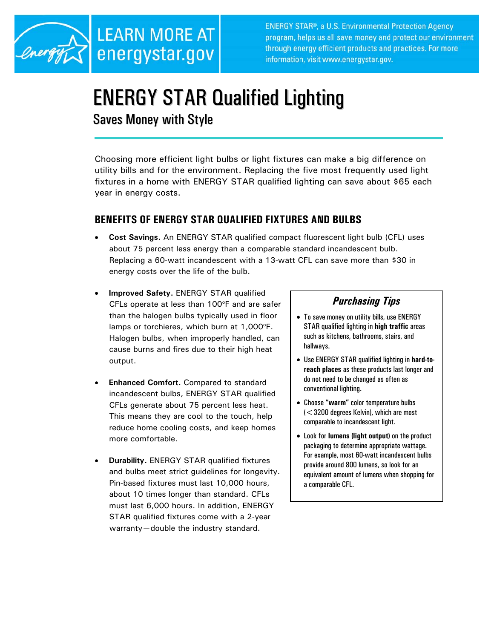

**ENERGY STAR®, a U.S. Environmental Protection Agency** program, helps us all save money and protect our environment through energy efficient products and practices. For more information, visit www.energystar.gov.

# ENERGY STAR Qualified Lighting

Saves Money with Style

Choosing more efficient light bulbs or light fixtures can make a big difference on utility bills and for the environment. Replacing the five most frequently used light fixtures in a home with ENERGY STAR qualified lighting can save about \$65 each year in energy costs.

## **BENEFITS OF ENERGY STAR QUALIFIED FIXTURES AND BULBS**

- **Cost Savings.** An ENERGY STAR qualified compact fluorescent light bulb (CFL) uses about 75 percent less energy than a comparable standard incandescent bulb. Replacing a 60-watt incandescent with a 13-watt CFL can save more than \$30 in energy costs over the life of the bulb.
- **Improved Safety.** ENERGY STAR qualified CFLs operate at less than 100°F and are safer than the halogen bulbs typically used in floor lamps or torchieres, which burn at 1,000°F. Halogen bulbs, when improperly handled, can cause burns and fires due to their high heat output.
- **Enhanced Comfort.** Compared to standard incandescent bulbs, ENERGY STAR qualified CFLs generate about 75 percent less heat. This means they are cool to the touch, help reduce home cooling costs, and keep homes more comfortable.
- **Durability.** ENERGY STAR qualified fixtures and bulbs meet strict guidelines for longevity. Pin-based fixtures must last 10,000 hours, about 10 times longer than standard. CFLs must last 6,000 hours. In addition, ENERGY STAR qualified fixtures come with a 2-year warranty—double the industry standard.

# *Purchasing Tips*

- To save money on utility bills, use ENERGY STAR qualified lighting in **high traffic** areas such as kitchens, bathrooms, stairs, and hallways.
- Use ENERGY STAR qualified lighting in **hard-toreach places** as these products last longer and do not need to be changed as often as conventional lighting.
- Choose **"warm"** color temperature bulbs (<3200 degrees Kelvin), which are most comparable to incandescent light.
- Look for **lumens (light output)** on the product packaging to determine appropriate wattage. For example, most 60-watt incandescent bulbs provide around 800 lumens, so look for an equivalent amount of lumens when shopping for a comparable CFL.